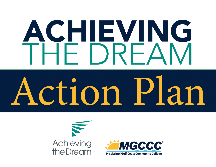# **ACHIEVING**<br>THE BREAM

# Action Plan



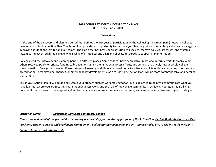### **2018 COHORT STUDENT SUCCESS ACTION PLAN**

Due: Friday June 7, 2019

### *Instructions*

At the end of the discovery and planning period that defines the first year of participation in the Achieving the Dream (ATD) network, colleges develop and submit an Action Plan. The Action Plan provides an opportunity to translate your learning into an overarching vision and strategy for improving student and institutional outcomes. The Plan describes how your institution will seek to improve policies, processes, and systems; maximize impact through the college-wide scaling of strategies; and align and allocate resources to support implementation.

Colleges start the discovery and planning period in different places. Some colleges have been active in national reform efforts for many years, others received public or private funding to broaden or sustain their student success efforts, and some are relatively new at whole-college transformation. Colleges also are at different stages of learning and discovery based on factors like availability of data, competing priorities (e.g., accreditation), organizational changes, or external policy developments. As a result, some Action Plans will be more comprehensive and detailed than others.

This is **your** Action Plan. It will guide and sustain your student success work moving forward. It is designed to help you communicate what you have learned, where you are focusing your student success work, and the role of the college community in achieving your goals. It is a living document that is meant to be adapted and evolved as you learn more, accumulate experience, and assess the effectiveness of your strategies.

*Institution Name: \_\_\_\_\_\_\_Mississippi Gulf Coast Community College\_\_\_\_\_\_\_\_\_\_\_\_\_\_\_\_\_\_\_\_\_\_\_\_\_\_\_\_\_\_*

*Name, title and email of the person(s) with primary responsibility for monitoring progress of the Action Plan: Dr. Phil Bonfanti, Executive Vice President, Student Services and Enrollment Management, phil.bonfanti@mgccc.edu; and Dr. Tammy Franks, Vice President, Jackson County Campus, tammy.franks@mgccc.edu*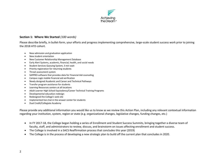

## **Section 1: Where We Started** *(100 words)*

Please describe briefly, in bullet-form, your efforts and progress implementing comprehensive, large-scale student success work prior to joining the 2018 ATD cohort.

- New admission and graduation application
- New student orientation
- New Customer Relationship Management Database
- Early Alert Systems, academic, financial, health, and social needs
- Student Services Queuing System, 3 min wait
- Priority registration for returning students
- Threat assessment system
- SAPPRO-software that provides data for Financial Aid counseling
- Campus Logic mobile financial aid verification
- Newly designed Academic and Career and Technical Pathways
- Transfer program assistance for students
- Learning Resources centers at all locations
- Adult Learner High School Equivalency/Career Technical Training Programs
- Developmental education redesign
- Redesigned the College's web site
- Implemented live chat in the answer center for students
- Dual Credit/Collegiate Academy

Please provide any additional information you would like us to know as we review this Action Plan, including any relevant contextual information regarding your institution, system, region or state (e.g. organizational changes, legislative changes, funding changes, etc.)

- In FY 2017-18, the College began holding a series of Enrollment and Student Success Summits, bringing together a diverse team of faculty, staff, and administrators to review, discuss, and brainstorm on issues affecting enrollment and student success.
- The College is involved in a SACS Reaffirmation process that concludes this year (2019)
- The College is in the process of developing a new strategic plan to build off the current plan that concludes in 2020.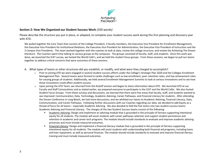

### **Section 2: How We Organized our Student Success Work** *(350 words)*

Please describe the structure you put in place, or adapted, to complete your student success work during this first planning and discovery year with ATD.

We pulled together the Core Team that consists of the College President, 3 faculty members, the Executive Vice President for Enrollment Management, the Executive Vice President for Institutional Relations, the Executive Vice President for Administration, the Executive Vice President of Instruction and the 3 Campus Vice Presidents. This team worked together with the coaches to look at data, review the college structure, and review the Achieving The Dream literature. The Coaches spent time talking to various groups at the campuses. The groups consisted of faculty, staff, and students. Once this work was done, we launched the ICAT survey, we hosted the World Café's, and we held the student focus groups. From these sessions, we began to pull our teams together to address critical concerns that were outcomes of these sessions.

- A. What types of teams or other structures did you establish, or modify, and what were they charged to accomplish?
	- o Prior to joining ATD we were engaged in several student success efforts under the College's Strategic Plan 2020 and the Colleges Enrollment Management Plan. Several teams were formed to tackle challenges such as low enrollment, poor retention rates, and low achievement rates for varying groups of students. Additionally, we held several Enrollment Management Summits to look at various innovations and to see how those innovations could affect student success.
	- o Upon joining the ATD Team, we returned from the Kickoff session and began to share information about ATD. We launched ATD at our Faculty and Staff Convocations and as stated earlier, we prepared everyone to participate in the ICAT and the World Cafés. We also hosted Student Focus Groups. From these surveys and discussions, we learned that there were five areas that faculty, staff, and students wanted to see improved: Communication, Data, Technology, Academic Advising, Career Pathways, and Financial Literacy for students. After attending the Dream Conference in Long Beach, we had more discussions, and we whittled our teams to Academic Advising, Financial Literacy, Data, Communication, and Career Pathways. Following further discussions with our Coaches regarding our data, we decided to add Equity as a thread of focus for all teams – especially Academic Advising. We also decided to fold the five teams into two student success teams: Academic Advising and Financial Literacy. The charges of the two Student Success teams consist of the following:
		- § Academic Advising: Design and implement an advising module that is grounded in the principle of fairness supporting intentional equity for all students. The module will assist students with career pathways selection and support student persistence and retention in academic and career tech programs. The module should include standards to evaluate and improve academic advising processes and must include measured outcomes.
		- Financial Literacy: Design and implement a financial literacy module that is grounded in the principle of fairness supporting intentional equity for all students. The module will assist students with understanding both financial aid programs, including loans and loan repayment, as well as personal finances. The module should include standards to evaluate and improve financial literacy training and must include measured outcomes.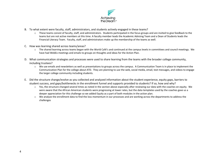

- B. To what extent were faculty, staff, administrators, and students actively engaged in these teams?
	- o These teams consist of faculty, staff, and administrators. Students participated in the focus groups and are invited to give feedback to the teams but are not active members at this time. A faculty member leads the Academic Advising Team and a Dean of Students leads the Financial Literacy Team. Faculty, staff, and administrators make up the membership of the teams as well.
- C. How was learning shared across teams/areas?
	- o The shared learning across teams began with the World Café's and continued at the campus levels in committees and council meetings. We have had WebEx meetings and emails to groups on thoughts and ideas for the Action Plan.
- D. What communication strategies and processes were used to share learning from the teams with the broader college community, including trustees?
	- o We use emails and newsletters as well as presentations to groups across the campus. A Communication Team is in place to implement the Communication Plan for the college about ATD. They are planning to use the web, social media, email, text messages, and videos to engage the larger college community including students.
- E. Did the structure change/evolve as you collected and analyzed information about the student experience, equity gaps, barriers to student success, and gaps/bottlenecks in the enrollment funnel and supports provided to students? If so, how and why?
	- $\circ$  Yes, the structure changed several times as noted in the section above especially after reviewing our data with the coaches on equity. We were aware that the African American students were progressing at lower rates, but the data templates used by the coaches gave us a deeper appreciation for this challenge so we added Equity as a part of both modules in the action plan.
	- o We analyze the enrollment data to find the loss momentum in our processes and are working across the departments to address the challenges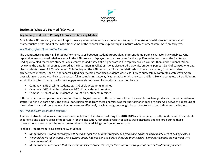

### **Section 3: What We Learned** *(500 words)*

### **Key Findings that Led to Priority #1: Proactive Advising Module**

Early in the ATD program, a series of reports were generated to enhance the understanding of how students with varying demographic characteristics performed at the institution. Some of the reports were exploratory in a nature whereas others were more prescriptive.

# *Key Findings from Quantitative Reports:*

The quantitative reports highlighted performance gaps between student groups along different demographic characteristic variables. One report that was analyzed relatively early in the ATD program displayed course pass rates for the top 20 enrolled courses at the institution. Findings revealed that white students consistently passed classes at a higher rate in the top 20 enrolled courses than black students. When reviewing the data for all courses offered at the institution in Fall 2018, it was discovered that white students passed 89.8% of courses whereas black students passed 81.3% of courses. This finding led the ATD team to explore the relationship of race on a variety of other student achievement metrics. Upon further analysis, findings revealed that black students were less likely to successfully complete a gateway English class within one year, less likely to be successful in completing gateway Mathematics within one year, and less likely to complete 15 credit hours within the first term. Lastly, performance gaps were also observed for fall-to-fall retention by site:

- § Campus X: 65% of white students vs. 48% of black students retained
- Campus Y: 54% of white students vs 40% of black students retained
- Campus Z: 67% of white students vs 55% of black students retained

Differences in student performance was not limited to just race and differences were found by variables such as gender and student enrollment status (full-time vs part-time). The overall conclusion made from these analyses was that performance gaps are observed between subgroups of the student body and some course of action to more effectively reach all subgroups might be of value to both the student and institution.

# *Key Findings from Qualitative Reports:*

A series of structured focus sessions were conducted with 159 students during the 2018-2019 academic year to better understand the student experience and explore areas of opportunity for the institution. Although a variety of topics were discussed and explored during these conversations, a consistent theme resonated that student advising could be improved upon.

Feedback Report from Focus Sessions w/ Students

- § *Many students stated that they felt they did not get the help that they needed from their advisors, particularly with choosing classes.*
- § *When asked if students met with advisors, many had not done so before choosing their classes. Some participants did not meet with their advisor at all.*
- § *Many students mentioned that their advisor selected their classes for them without asking what time or location they needed.*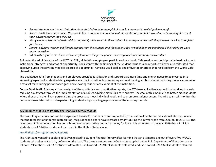

- § *Several students mentioned that other students tried to help them pick classes but were not knowledgeable enough.*
- § *Several participants mentioned they would like us to have advisors present at orientation, and felt it would have been helpful to meet their advisors sooner than they did.*
- § *Many students learned of their advisors by email, while several others did not know they had one until they needed their PIN to register for classes.*
- Several advisors were on a different campus than the student, and the students felt it would be more beneficial if their advisors were *more accessible.*
- § *When asked if advisors discussed career plans with the participants, some responded yes but many answered no.*

Following the administration of the ICAT (N=629), all full-time employees participated in a World Café session and could provide feedback about institutional strengths and areas of opportunity. Consistent with the findings of the student focus session report, employee also reiterated that improving upon the advising model is an area of opportunity. Advising was listed as one of five top priorities that resulted from the World Café discussions.

The qualitative data from students and employees provided justification and support that more time and energy needs to be invested into improving aspects of student advising experience at the institution. Implementing and maintaining a robust student advising model can serve as a catalyst for reducing performance gaps and elevating student achievement at the institution.

**Course Module #1: Advising -** Upon analysis of the qualitative and quantitative reports, the ATD team collectively agreed that working towards reducing equity gaps through the implementation of a robust advising model is a core priority. The goal of this module is to better meet students where they are in their lives, personalizing the process to meet individual needs and to promote student success. The ATD team will monitor the outcomes associated with under-performing student subgroups to gauge success of the Advising module.

### **Key Findings that Led to Priority #2: Financial Literacy Module**

The cost of higher education can be a significant barrier for students. Trends reported by The National Center for Educational Statistics reveal that the total cost of undergraduate tuition, fees, room and board have increased by 34% during the 10 year span from 2005-06 to 2015-16. The rising cost of higher education has contributed to students taking out more money for loans. It is estimated in the year 2019 that 44 million students owe 1.5 trillion in student loan debt in the United States alone.

### *Key Findings from Quantitative Reports:*

The ATD team wanted to explore initiatives related to student financial literacy after learning that an estimated one out of every five MGCCC students who takes out a loan, defaults on the loan. The three most current default rates supplied by the U.S. Department of Education are as follows: FY13 cohort - 23.8% of students defaulted, FY14 cohort - 23.9% of students defaulted, and FY15 cohort - 21.9% of students defaulted.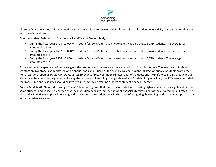

These default rate are not within an optimal range. In addition to reviewing default rates, federal student loan activity is also monitored at the end of each fiscal year.

Average Student Federal Loan Amounts by Fiscal Year of Student Body

- § During the fiscal year 1718, 17.026M in federal/external/alternate-private loans was paid out to 3,179 students. The average loan amounted to 5.4k
- § During the fiscal year 1617, 18.888M in federal/external/alternate-private loans was paid out to 3,474 students. The average loan amounted to 5.4k
- § During the fiscal year 1516, 15.850M in federal/external/alternate-private loans was paid out to 2,790 students. The average loan amounted to 5.7k

From a student perspective, evidence suggests that students want to receive more education in financial literacy. The Noel Levitz Student Satisfaction Inventory is administered on an annual basis and is used as the primary college student satisfaction survey. Students scored the item, "*This institution helps me identify resources to finance"* received the third lowest out of 50 questions (n=841). Recognizing that financial literacy can be a contributing factor as to why students are not enrolling, being retained, and/or defaulting on a loan, the ATD team concluded that more time and resources should be invested into improving training aspects of student financial literacy.

**Course Module #2: Financial Literacy –** The ATD team recognized that the cost associated with pursing higher education is a significant barrier to some students and collectively agreed that the institution needs to improve student financial literacy in light of the elevated default rates. The aim of this initiative is to provide training and education to the student body in the areas of budgeting, borrowing, and repayment options early in their academic career.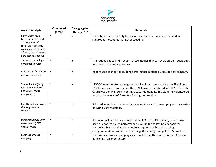

| <b>Area of Analysis</b>                                                                                                                                                               | Completed<br>(Y/N)? | <b>Disaggregated</b><br>Data $(Y/N)$ ? | Rationale                                                                                                                                                                                                                                                                                                    |
|---------------------------------------------------------------------------------------------------------------------------------------------------------------------------------------|---------------------|----------------------------------------|--------------------------------------------------------------------------------------------------------------------------------------------------------------------------------------------------------------------------------------------------------------------------------------------------------------|
| Early Momentum<br>Metrics such as credit<br>accumulation 1 <sup>st</sup><br>term/year, gateway<br>course completion in<br>1 <sup>st</sup> year, term-to-term<br>persistence (specify) | Y                   | Υ                                      | The rationale is to identify trends in these metrics that can show student<br>subgroups most at-risk for not succeeding.                                                                                                                                                                                     |
| Success rates in high<br>enrollment courses                                                                                                                                           | Y                   | Y                                      | The rationale is to find trends in these metrics that can show student subgroups<br>most at-risk for not succeeding.                                                                                                                                                                                         |
| Meta-major/ Program<br>of Study selection                                                                                                                                             | Y                   | N                                      | Report used to monitor student performance metrics by educational program.                                                                                                                                                                                                                                   |
| Student voice (Early<br><b>Engagement metrics</b><br>like SENSE, focus<br>groups, etc.)                                                                                               | Y                   | Y                                      | MGCCC monitors student engagement levels by administering the SENSE and<br>CCSSE once every three years. The SENSE was administered in Fall 2018 and the<br>CCSSE was administered in Spring 2019. Additionally, 159 students volunteered<br>to participate in an ATD student focus group session.           |
| Faculty and staff voice<br>(focus groups or<br>surveys)                                                                                                                               | Y                   | N                                      | Solicited input from students via focus sessions and from employees via a series<br>of World Café meetings.                                                                                                                                                                                                  |
| <b>Institutional Capacity</b><br>Assessment (ICAT);<br>Capacity Cafe                                                                                                                  | Y                   | N                                      | A total of 629 employees completed the ICAT. The ICAT findings report was<br>used as a tool to gauge performance levels in the following 7 capacities:<br>leadership & vision, data & technology, equity, teaching & learning,<br>engagement & communication, strategy & planning, and policies & practices. |
| <b>Business process</b><br>mapping                                                                                                                                                    | Y                   | N                                      | The business process mapping was completed in the Student Affairs Areas to<br>determine loss momentum                                                                                                                                                                                                        |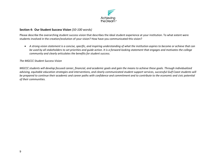

# **Section 4: Our Student Success Vision** (*50-100 words)*

Please describe the overarching student success vision that describes the ideal student experience at your institution. To what extent were students involved in the creation/evolution of your vision? How have you communicated this vision?

• *A strong vision statement is a concise, specific, and inspiring understanding of what the institution aspires to become or achieve that can be used by all stakeholders to set priorities and guide action. It is a forward-looking statement that engages and motivates the college community and clearly articulates the benefits for student success.*

### *The MGCCC Student Success Vision*

*MGCCC students will develop focused career, financial, and academic goals and gain the means to achieve these goals. Through individualized advising, equitable education strategies and interventions, and clearly communicated student support services, successful Gulf Coast students will be prepared to continue their academic and career paths with confidence and commitment and to contribute to the economic and civic potential of their communities.*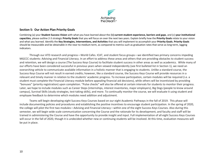

### **Section 5: Our Action Plan Priority Goals**

Combining (a) your **Student Success Vision** with what you have learned about the (b**) current student experience, barriers and gaps**, and (c) **your institutional capacities**, please outline 2-3 strategic **Priority Goals** that you will focus on over the next two years. Explain briefly how the **Priority Goals** relate to your vision and what you learned. Identify the **Key Strategies, Interventions, and Activities** that you will implement to accomplish your **Priority Goals. Priority Goals** should be measurable and be obtainable in the near-to-medium term, as compared to metrics such as graduation rates that serve as long-term, lagging indicators.

Through our ATD research and progress—World Cafes. ICAT, and student focus groups—we identified two primary concerns impeding MGCCC students: Advising and Financial Literacy. In an effort to address these areas and others that are providing obstacles to student success and retention, we will design a course (The Success Keys Course) to facilitate student success in other areas as well as academics. While many of our efforts have been considered successful in previous years when viewed independently (see first bulleted list in Section 1), we need an overarching vehicle to communicate available information in a holistic manner that is engaging to students. Unlike a standard course, the Success Keys Course will not result in earned credits; however, like a standard course, the Success Keys Course will provide resources in a relevant and timely manner in relation to the students' academic progress. To increase participation, certain modules will be required (i.e. a student must complete the Financial Literacy module before appealing financial aid decisions), while others will be incentivized by providing "bonuses" (priority registration) upon completion. "Pulse checks" will also be offered at certain intervals for students to monitor their progress. Later, we hope to include modules such as Career Steps (internships, interest inventories, major employers), Big Dogs (people to know around campus), Survival Skills (study strategies, test-taking skills), and more. To continually monitor the course, we will evaluate it using student and employee feedback to determine which modules need addition and adjustment.

Teams will begin developing eight Success Keys Courses based on our eight Academic Pathways in the fall of 2019. This phase will include documenting policies and procedures and establishing the positive incentives to encourage student participation. In the spring of 2020, the college will pilot the first two modules—Advising and Financial Literacy—within one of the eight Success Keys Courses. Also during this semester, we will begin wide scale communication concerning the Course and the rationale for its development, and faculty and staff will be trained in administering the Course and have the opportunity to provide insight and input. Full implementation of all eight Success Keys Courses will occur in the fall of 2020, though it is undecided whether new or continuing students will be involved. At this time, evaluation measures will be put in place.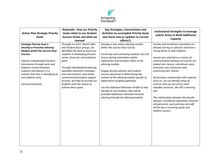

|                                                           | <b>Rationale: How our Priority</b> | Key Strategies, Interventions and              | <b>Institutional Strengths to leverage</b>                                           |
|-----------------------------------------------------------|------------------------------------|------------------------------------------------|--------------------------------------------------------------------------------------|
| <b>Action Plan Strategic Priority</b>                     | <b>Goals relate to our Student</b> | <b>Activities to accomplish Priority Goals</b> | and/or Areas to Build Additional                                                     |
| <b>Goals</b>                                              | <b>Success Vision and what we</b>  | (are these new or updates to current           |                                                                                      |
|                                                           | learned                            | efforts?)                                      | Capacity                                                                             |
| <b>Strategic Priority Goal 1:</b>                         | Through our ICAT, World Cafés      | Develop a new online advising module           | Faculty and enrollment specialists are                                               |
| <b>Develop a Proactive Advising</b>                       | and Student focus groups, we       | within the Success Keys Course.                | already serving as advisors and have a                                               |
| <b>Module within the Success Keys</b>                     | identified the need to assist our  |                                                | strong desire to help students.                                                      |
| Courses.                                                  | students in developing focused     | Enroll new and continuing students into the    |                                                                                      |
|                                                           | career, financial, and academic    | Course during orientation and/or               | Canvas was selected as a means of                                                    |
| Improve Individualized Student                            | goals.                             | registration and introduce them to the         | communication because all courses are                                                |
| Information through early and<br>frequent contact between | Through individualized advising,   | advising module.                               | loaded into Canvas, and almost every<br>instructor uses Canvas for web               |
| students and advisors in a                                | equitable education strategies     | Engage faculty advisors and student            | enhancing their classes.                                                             |
| manner that aids in identifying at                        | and interventions, and clearly     | services personnel in determining the          |                                                                                      |
| risk students early.                                      | communicated student support       | content of the advising module specific to     | By forming a relationship with students                                              |
|                                                           | services, we hope to provide our   | department-assigned pathways.                  | early on, we can identify areas of                                                   |
| Increase Retention.                                       | students with the means to         |                                                | concern and use one of our most                                                      |
|                                                           | achieve these goals.               | Use the Individual Retention Profile to help   | valuable resources, the LRC's Learning                                               |
|                                                           |                                    | identify at-risk students, who will be         | Lab.                                                                                 |
|                                                           |                                    | provided additional individual intrusive       |                                                                                      |
|                                                           |                                    | advising through the Advising module.          | The relationships between the faculty<br>advisors, enrollment specialists, financial |
|                                                           |                                    |                                                | aid personnel, and Learning Lab staff                                                |
|                                                           |                                    |                                                | will be key in ensuring equity and                                                   |
|                                                           |                                    |                                                | student success.                                                                     |
|                                                           |                                    |                                                |                                                                                      |
|                                                           |                                    |                                                |                                                                                      |
|                                                           |                                    |                                                |                                                                                      |
|                                                           |                                    |                                                |                                                                                      |
|                                                           |                                    |                                                |                                                                                      |
|                                                           |                                    |                                                |                                                                                      |
|                                                           |                                    |                                                |                                                                                      |
|                                                           |                                    |                                                |                                                                                      |
|                                                           |                                    |                                                |                                                                                      |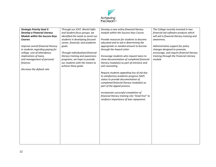

| <b>Strategic Priority Goal 2:</b><br>Develop a Financial Literacy<br><b>Module within the Success Keys</b><br><b>Courses</b><br>Improve overall financial literacy<br>in students regarding paying for<br>college, cost of attendance,<br>implications of loans,<br>and management of personal<br>finances<br>Decrease the default rate. | Through our ICAT, World Cafés<br>and Student focus groups, we<br>identified the needs to assist our<br>students in developing focused<br>career, financial, and academic<br>goals.<br>Through individualized financial<br>literacy training and awareness<br>programs, we hope to provide<br>our students with the means to<br>achieve these goals. | Develop a new online financial literacy<br>module within the Success Keys Course.<br>Provide resources for students to become<br>educated and to aid in determining the<br>appropriate or needed amount to borrow<br>through the Award Letter.<br>Encourage students who request loans to<br>show documentation of completed financial<br>literacy module(s) as part of entrance and<br>exit counseling.<br>Require students appealing loss of aid due<br>to satisfactory academic progress (SAP)<br>status to provide documentation of<br>completed financial literacy module(s) as<br>part of the appeal process.<br>Incorporate successful completion of | The College recently invested in two<br>financial aid software products which<br>will aid in financial literacy training and<br>awareness.<br>Administrative support for policy<br>changes designed to promote,<br>encourage, and require financial literacy<br>training through the Financial Literacy<br>module |
|------------------------------------------------------------------------------------------------------------------------------------------------------------------------------------------------------------------------------------------------------------------------------------------------------------------------------------------|-----------------------------------------------------------------------------------------------------------------------------------------------------------------------------------------------------------------------------------------------------------------------------------------------------------------------------------------------------|-------------------------------------------------------------------------------------------------------------------------------------------------------------------------------------------------------------------------------------------------------------------------------------------------------------------------------------------------------------------------------------------------------------------------------------------------------------------------------------------------------------------------------------------------------------------------------------------------------------------------------------------------------------|-------------------------------------------------------------------------------------------------------------------------------------------------------------------------------------------------------------------------------------------------------------------------------------------------------------------|
|                                                                                                                                                                                                                                                                                                                                          |                                                                                                                                                                                                                                                                                                                                                     |                                                                                                                                                                                                                                                                                                                                                                                                                                                                                                                                                                                                                                                             |                                                                                                                                                                                                                                                                                                                   |
|                                                                                                                                                                                                                                                                                                                                          |                                                                                                                                                                                                                                                                                                                                                     |                                                                                                                                                                                                                                                                                                                                                                                                                                                                                                                                                                                                                                                             |                                                                                                                                                                                                                                                                                                                   |
|                                                                                                                                                                                                                                                                                                                                          |                                                                                                                                                                                                                                                                                                                                                     |                                                                                                                                                                                                                                                                                                                                                                                                                                                                                                                                                                                                                                                             |                                                                                                                                                                                                                                                                                                                   |
|                                                                                                                                                                                                                                                                                                                                          |                                                                                                                                                                                                                                                                                                                                                     | financial literacy training into "Grad Fest" to<br>reinforce importance of loan repayment.                                                                                                                                                                                                                                                                                                                                                                                                                                                                                                                                                                  |                                                                                                                                                                                                                                                                                                                   |
|                                                                                                                                                                                                                                                                                                                                          |                                                                                                                                                                                                                                                                                                                                                     |                                                                                                                                                                                                                                                                                                                                                                                                                                                                                                                                                                                                                                                             |                                                                                                                                                                                                                                                                                                                   |
|                                                                                                                                                                                                                                                                                                                                          |                                                                                                                                                                                                                                                                                                                                                     |                                                                                                                                                                                                                                                                                                                                                                                                                                                                                                                                                                                                                                                             |                                                                                                                                                                                                                                                                                                                   |
|                                                                                                                                                                                                                                                                                                                                          |                                                                                                                                                                                                                                                                                                                                                     |                                                                                                                                                                                                                                                                                                                                                                                                                                                                                                                                                                                                                                                             |                                                                                                                                                                                                                                                                                                                   |
|                                                                                                                                                                                                                                                                                                                                          |                                                                                                                                                                                                                                                                                                                                                     |                                                                                                                                                                                                                                                                                                                                                                                                                                                                                                                                                                                                                                                             |                                                                                                                                                                                                                                                                                                                   |
|                                                                                                                                                                                                                                                                                                                                          |                                                                                                                                                                                                                                                                                                                                                     |                                                                                                                                                                                                                                                                                                                                                                                                                                                                                                                                                                                                                                                             |                                                                                                                                                                                                                                                                                                                   |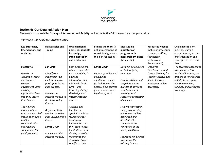

# **Section 6: Our Detailed Action Plan**

Please expand on each **Key Strategy, Intervention and Activity** outlined in Section 5 in the work plan template below.

### *Priority One: The Academic Advising Module*

| <b>Key Strategies,</b> | <b>Deliverables and</b> | Organizational          | Scaling the Work (if     | <b>Measurable</b>      | <b>Resources Needed</b>     | Challenges (policy,      |
|------------------------|-------------------------|-------------------------|--------------------------|------------------------|-----------------------------|--------------------------|
| Interventions and      | <b>Timing</b>           | unit(s) responsible     | not implementing at      | indicators of          | (policy or procedural       | logistics, staffing,     |
| <b>Activities</b>      |                         | for design,             | scale initially, what is | progress with          | changes, staffing,          | organizational, etc.) to |
|                        |                         | implementation          | the plan for scaling?)   | measurement dates      | technology,                 | implementation and       |
|                        |                         | and evaluation          |                          | (be specific)          | professional                | strategies to overcome   |
|                        |                         |                         |                          |                        | development)                | them                     |
| <b>Strategy 1</b>      | <b>Fall 2019</b>        | Each department         | Spring 2020              | Data will be collected | Employee                    | The foreseen challenges  |
|                        |                         | will be responsible     |                          | on Fall to Spring      | Development and             | to implement this        |
| Develop an             | Identify one            | for maintaining its     | Begin expanding and      | retention.             | Canvas Training for         | model will include, the  |
| <b>Advising Module</b> | department on           | advising                | developing               |                        | <b>Faculty Advisors and</b> | amount of time it takes  |
| and improve            | each campus to          | information, but        | additional modules       | Faculty advisors will  | <b>Student Services</b>     | initially to set up the  |
| student                | participate in the      | will work closely       | for inclusion in the     | keep data on the       | employees will be           | advising modules,        |
| advisement using       | pilot process.          | with IT and             | Success Keys courses     | number of advisees     | necessary.                  | training, and resistance |
| advising               |                         | <b>Elearning during</b> | (career assessment,      | seen/number of         |                             | to change.               |
| information built      | Develop an              | the design and          | big dawgs, etc.)         | meetings and           |                             |                          |
| into the Success       | advising module in      | implementation          |                          | successful completion  |                             |                          |
| Keys Course.           | the Success Keys        | process.                |                          | of courses             |                             |                          |
|                        | Course.                 |                         |                          |                        |                             |                          |
| The Advising           |                         | Advisors and            |                          | Student satisfaction   |                             |                          |
| module will be         | Begin enrolling         | Enrollment              |                          | surveys concerning     |                             |                          |
| used as a portal of    | students into the       | Specialists will be     |                          | advisement will be     |                             |                          |
| information and a      | pilot version of the    | responsible for         |                          | developed and          |                             |                          |
| tool for               | Course.                 | identifying             |                          | distributed to         |                             |                          |
| communication          |                         | information that        |                          | students at the        |                             |                          |
| between the            | Spring 2020             | they need to post       |                          | conclusion of the      |                             |                          |
| student and the        |                         | for students in the     |                          | Spring 2020 term.      |                             |                          |
| faculty advisor.       | Implement pilot         | Course, as well as      |                          |                        |                             |                          |
|                        | advising module.        | monitoring the          |                          | Feedback will be used  |                             |                          |
|                        |                         | discussion board        |                          | to improve the         |                             |                          |
|                        |                         | specific to their       |                          | existing Canvas        |                             |                          |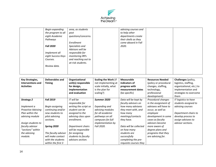

| Begin expanding    | area, as students   | advising courses and |  |
|--------------------|---------------------|----------------------|--|
| the program to all | post                | to help other        |  |
| eight Academic     | questions/concerns. | departments create   |  |
| Pathways           |                     | their shells as they |  |
|                    | Enrollment          | come aboard in Fall  |  |
| <b>Fall 2020</b>   | Specialists and     | 2020.                |  |
|                    | Advisors will be    |                      |  |
| Implement all      | responsible for     |                      |  |
| eight Success Keys | monitoring IRPs     |                      |  |
| Courses.           | and reaching out to |                      |  |
|                    | at-risk students.   |                      |  |
| Review data.       |                     |                      |  |
|                    |                     |                      |  |
|                    |                     |                      |  |

| Key Strategies,<br><b>Interventions and</b><br><b>Activities</b> | Deliverables and<br><b>Timing</b> | Organizational<br>unit(s) responsible<br>for design,<br>implementation<br>and evaluation | <b>Scaling the Work (if</b><br>not implementing at<br>scale initially, what<br>is the plan for<br>scaling?) | <b>Measurable</b><br>indicators of<br>progress with<br>measurement dates<br>(be specific) | <b>Resources Needed</b><br>(policy or procedural<br>changes, staffing,<br>technology,<br>professional<br>development) | Challenges (policy,<br>logistics, staffing,<br>organizational, etc.) to<br>implementation and<br>strategies to overcome<br>them |
|------------------------------------------------------------------|-----------------------------------|------------------------------------------------------------------------------------------|-------------------------------------------------------------------------------------------------------------|-------------------------------------------------------------------------------------------|-----------------------------------------------------------------------------------------------------------------------|---------------------------------------------------------------------------------------------------------------------------------|
| <b>Strategy 2</b>                                                | <b>Fall 2019</b>                  | IT will be                                                                               | Summer 2020                                                                                                 | Data will be kept by                                                                      | Procedural changes                                                                                                    | IT logistics to have                                                                                                            |
| Implement a                                                      | Begin assigning                   | responsible for<br>writing the script so                                                 | Expanding and                                                                                               | faculty advisors on<br>how many advisees                                                  | in the assignment of<br>advisees will have to                                                                         | students assigned to<br>advising courses                                                                                        |
| <b>Proactive Advising</b>                                        | continuing and/or                 | student can be                                                                           | advising modules                                                                                            | they meet with, and                                                                       | occur, as well as                                                                                                     |                                                                                                                                 |
| Plan within the                                                  | new students to                   | assigned to the                                                                          | for all academic                                                                                            | how many                                                                                  | employee                                                                                                              | Department chairs to                                                                                                            |
| advising module                                                  | pilot advising                    | advising class upon                                                                      | pathways on all                                                                                             | meetings/contacts                                                                         | development in some                                                                                                   | develop process to                                                                                                              |
|                                                                  | sections.                         | enrollment.                                                                              | campuses for full                                                                                           | they have.                                                                                | cases as faculty                                                                                                      | assign advisees to                                                                                                              |
| Assign students to                                               |                                   |                                                                                          | implementation by                                                                                           |                                                                                           | advisors become                                                                                                       | advisor sections.                                                                                                               |
| faculty advisor                                                  | Spring 2020                       | Department chairs                                                                        | Fall 2020.                                                                                                  | Data will be collected                                                                    | more aware of                                                                                                         |                                                                                                                                 |
| "sections" within                                                |                                   | will be responsible                                                                      |                                                                                                             | on how many                                                                               | degree plans and                                                                                                      |                                                                                                                                 |
| the advising                                                     | The faculty advisor               | for assigning                                                                            |                                                                                                             | students are                                                                              | programs that they                                                                                                    |                                                                                                                                 |
| module.                                                          | will make contact                 | students to faculty                                                                      |                                                                                                             | successfully                                                                              | are advising for.                                                                                                     |                                                                                                                                 |
|                                                                  | with the students                 | advisors section.                                                                        |                                                                                                             | completing the pre-                                                                       |                                                                                                                       |                                                                                                                                 |
|                                                                  | within the first 3                |                                                                                          |                                                                                                             | requisite courses they                                                                    |                                                                                                                       |                                                                                                                                 |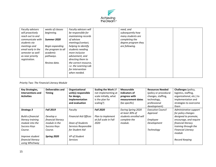

| Faculty advisors   | weeks of classes   | Faculty advisors will        | need, and           |  |
|--------------------|--------------------|------------------------------|---------------------|--|
| will proactively   | beginning.         | be responsible for           | subsequently how    |  |
| reach out to and   |                    | maintaining records          | many students are   |  |
| communicate with   | Summer 2020        | of advisee                   | completing the      |  |
| students via       |                    | meetings/contact,            | degree program they |  |
| meetings and       | Begin expanding    | helping to identify          | are following.      |  |
| email early in the | the program to all | students needing             |                     |  |
| semester as well   | academic           | more inclusive               |                     |  |
| as near priority   | pathways.          | advisement, and              |                     |  |
| registration.      |                    | directing them to            |                     |  |
|                    | Review data.       | the correct resource,        |                     |  |
|                    |                    | <i>i.e.</i> the Learning Lab |                     |  |
|                    |                    | for intervention             |                     |  |
|                    |                    | when needed.                 |                     |  |
|                    |                    |                              |                     |  |

*Priority Two: The Financial Literacy Module*

| <b>Key Strategies,</b>   | Deliverables and   | Organizational               | <b>Scaling the Work (if</b> | <b>Measurable</b>      | <b>Resources Needed</b>  | Challenges (policy,       |
|--------------------------|--------------------|------------------------------|-----------------------------|------------------------|--------------------------|---------------------------|
| Interventions and        | <b>Timing</b>      | unit(s) responsible          | not implementing at         | indicators of          | (policy or procedural    | logistics, staffing,      |
| <b>Activities</b>        |                    | for design,                  | scale initially, what       | progress with          | changes, staffing,       | organizational, etc.) to  |
|                          |                    | implementation               | is the plan for             | measurement dates      | technology,              | implementation and        |
|                          |                    | and evaluation               | scaling?)                   | (be specific)          | professional             | strategies to overcome    |
|                          |                    |                              |                             |                        | development)             | them                      |
| <b>Strategy 3</b>        | <b>Fall 2019</b>   | Faculty                      | <b>Fall 2020</b>            | During Spring 2020     | <b>Executive Council</b> | Administrative support    |
|                          |                    |                              |                             | at least 30% of        | Approval                 | for policy changes        |
| <b>Build a financial</b> | Develop a          | <b>Financial Aid Offices</b> | Plan to implement           | students enrolled will |                          | designed to promote,      |
| literacy training        | financial literacy |                              | at full scale in Fall       | complete the           | <b>Employee</b>          | encourage, and require    |
| module into the          | module in the      | Dean of Students             | 2020                        | module.                | Development              | financial literacy        |
| Success Keys             | Success Keys       | Services Responsible         |                             |                        |                          | training through the      |
| Course.                  | Course.            | for Student Aid              |                             |                        | Technology               | <b>Financial Literacy</b> |
|                          |                    |                              |                             |                        |                          | module                    |
| Improve student          | Spring 2020        | VP of Student                |                             |                        |                          |                           |
| financial literacy       |                    | <b>Services</b>              |                             |                        |                          | Record Keeping            |
| using Whichway           |                    |                              |                             |                        |                          |                           |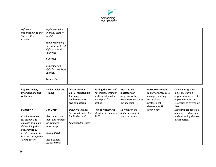

| software                 | Implement pilot    |  |  |  |
|--------------------------|--------------------|--|--|--|
| integrated in to the $ $ | financial literacy |  |  |  |
| Success Keys             | module.            |  |  |  |
| Course.                  |                    |  |  |  |
|                          | Begin expanding    |  |  |  |
|                          | the program to all |  |  |  |
|                          | eight Academic     |  |  |  |
|                          | Pathways           |  |  |  |
|                          |                    |  |  |  |
|                          | <b>Fall 2020</b>   |  |  |  |
|                          |                    |  |  |  |
|                          | Implement all      |  |  |  |
|                          | eight Success Keys |  |  |  |
|                          | Courses.           |  |  |  |
|                          |                    |  |  |  |
|                          | Review data.       |  |  |  |
|                          |                    |  |  |  |

| <b>Key Strategies,</b><br>Interventions and<br><b>Activities</b>                                                                                                                | Deliverables and<br><b>Timing</b>                                                                                                 | Organizational<br>unit(s) responsible<br>for design,<br>implementation<br>and evaluation    | <b>Scaling the Work (if</b><br>not implementing at<br>scale initially, what<br>is the plan for<br>scaling?) | <b>Measurable</b><br>indicators of<br>progress with<br>measurement dates<br>(be specific) | <b>Resources Needed</b><br>(policy or procedural<br>changes, staffing,<br>technology,<br>professional<br>development) | <b>Challenges</b> (policy,<br>logistics, staffing,<br>organizational, etc.) to<br>implementation and<br>strategies to overcome<br>them |
|---------------------------------------------------------------------------------------------------------------------------------------------------------------------------------|-----------------------------------------------------------------------------------------------------------------------------------|---------------------------------------------------------------------------------------------|-------------------------------------------------------------------------------------------------------------|-------------------------------------------------------------------------------------------|-----------------------------------------------------------------------------------------------------------------------|----------------------------------------------------------------------------------------------------------------------------------------|
| <b>Strategy 4</b><br>Provide resources<br>for students to<br>educate and aid in<br>determining the<br>appropriate or<br>needed amount to<br>borrow through the<br>Award Letter. | <b>Fall 2019</b><br>Benchmark loan<br>debt and number<br>of students<br>borrowing<br>Spring 2020<br>Roll out new<br>award letters | Dean of Students<br>Services Responsible<br>for Student Aid<br><b>Financial Aid Offices</b> | Plan to implement<br>at full scale in Spring<br>2020                                                        | Decrease in the<br>dollar amount of<br>loans accepted                                     | technology                                                                                                            | Educating students on<br>opening, reading and<br>understanding the new<br>award letter.                                                |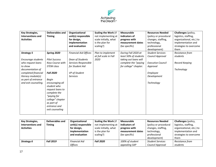

| <b>Key Strategies,</b><br>Interventions and<br><b>Activities</b>  | <b>Deliverables and</b><br><b>Timing</b>                      | Organizational<br>unit(s) responsible<br>for design,<br>implementation | Scaling the Work (if<br>not implementing at<br>scale initially, what<br>is the plan for | <b>Measurable</b><br>indicators of<br>progress with<br>measurement dates | <b>Resources Needed</b><br>(policy or procedural<br>changes, staffing,<br>technology, | Challenges (policy,<br>logistics, staffing,<br>organizational, etc.) to<br>implementation and |
|-------------------------------------------------------------------|---------------------------------------------------------------|------------------------------------------------------------------------|-----------------------------------------------------------------------------------------|--------------------------------------------------------------------------|---------------------------------------------------------------------------------------|-----------------------------------------------------------------------------------------------|
|                                                                   |                                                               | and evaluation                                                         | scaling?)                                                                               | (be specific)                                                            | professional<br>development)                                                          | strategies to overcome<br>them                                                                |
| <b>Strategy 5</b>                                                 | Spring 2020                                                   | <b>Financial Aid Offices</b>                                           | Plan to implement<br>at full scale in Fall                                              | During Fall 2020 at<br>least 50% of students                             | <b>Student Services</b><br>Council Approval                                           | Resistance from<br>students                                                                   |
| Encourage students<br>who request loans<br>to show                | <b>Pilot Success</b><br>Keys Course with<br><b>STEM class</b> | Dean of Students<br>Services Responsible<br>for Student Aid            | 2020                                                                                    | taking out loans will<br>complete the "paying<br>for college" chapter.   | <b>Executive Council</b><br>Approval                                                  | Record Keeping                                                                                |
| documentation of<br>completed financial                           | <b>Fall 2020</b>                                              | VP of Student                                                          |                                                                                         |                                                                          | Employee                                                                              | Technology                                                                                    |
| literacy module(s)<br>as part of entrance<br>and exit counseling. | Begin<br>encouraging all                                      | <b>Services</b>                                                        |                                                                                         |                                                                          | Development<br>Technology                                                             |                                                                                               |
|                                                                   | student who<br>request loans to                               |                                                                        |                                                                                         |                                                                          |                                                                                       |                                                                                               |
|                                                                   | complete the<br>"paying for                                   |                                                                        |                                                                                         |                                                                          |                                                                                       |                                                                                               |
|                                                                   | college" chapter<br>as part of<br>entrance and                |                                                                        |                                                                                         |                                                                          |                                                                                       |                                                                                               |
|                                                                   | exit counseling                                               |                                                                        |                                                                                         |                                                                          |                                                                                       |                                                                                               |

| <b>Key Strategies,</b> | Deliverables and | Organizational       | <b>Scaling the Work (if</b> | <b>Measurable</b> | <b>Resources Needed</b> | Challenges (policy,      |
|------------------------|------------------|----------------------|-----------------------------|-------------------|-------------------------|--------------------------|
| Interventions and      | <b>Timing</b>    | unit(s) responsible  | not implementing at         | indicators of     | (policy or procedural   | logistics, staffing,     |
| <b>Activities</b>      |                  | for design,          | scale initially, what       | progress with     | changes, staffing,      | organizational, etc.) to |
|                        |                  | implementation       | is the plan for             | measurement dates | technology,             | implementation and       |
|                        |                  | and evaluation       | scaling?)                   | (be specific)     | professional            | strategies to overcome   |
|                        |                  |                      |                             |                   | development)            | them                     |
| Strategy 6             | <b>Fall 2019</b> | <b>Financial Aid</b> | <b>Fall 2020</b>            | 100% of student   | <b>Student Services</b> | Resistance from          |
|                        |                  | <b>Offices</b>       |                             | appealing SAP     | Council Approval        | students                 |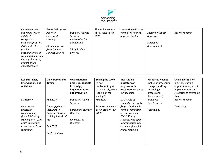

| Require students    | Revise SAP appeal |                  | Plan to implement     | suspension will have |                          |                |
|---------------------|-------------------|------------------|-----------------------|----------------------|--------------------------|----------------|
| appealing loss of   | policy to         | Dean of Students | at full scale in Fall | completed financial  | <b>Executive Council</b> | Record Keeping |
| aid due to          | incorporate       | <b>Services</b>  | 2020                  | appeals chapter      | Approval                 |                |
| satisfactory        | strateav          | Responsible for  |                       |                      |                          |                |
| academic progress   |                   | Student Aid      |                       |                      | Employee                 |                |
| (SAP) status to     | Obtain approval   |                  |                       |                      | Development              |                |
| provide             | from Student      | VP of Student    |                       |                      |                          |                |
| documentation of    | Services Council  | <b>Services</b>  |                       |                      |                          |                |
| completed financial |                   |                  |                       |                      |                          |                |
| literacy chapter(s) |                   |                  |                       |                      |                          |                |
| as part of the      |                   |                  |                       |                      |                          |                |
| appeal process      |                   |                  |                       |                      |                          |                |
|                     |                   |                  |                       |                      |                          |                |
|                     |                   |                  |                       |                      |                          |                |

| <b>Key Strategies,</b><br>Interventions and<br><b>Activities</b>                                                                                                             | Deliverables and<br><b>Timing</b>                                                                                                             | Organizational<br>unit(s) responsible<br>for design,<br>implementation<br>and evaluation                                          | <b>Scaling the Work</b><br>(if not<br>implementing at<br>scale initially, what<br>is the plan for<br>scaling?) | <b>Measurable</b><br>indicators of<br>progress with<br>measurement dates<br>(be specific)                                                                                                                    | <b>Resources Needed</b><br>(policy or procedural<br>changes, staffing,<br>technology,<br>professional<br>development) | Challenges (policy,<br>logistics, staffing,<br>organizational, etc.) to<br>implementation and<br>strategies to overcome<br>them |
|------------------------------------------------------------------------------------------------------------------------------------------------------------------------------|-----------------------------------------------------------------------------------------------------------------------------------------------|-----------------------------------------------------------------------------------------------------------------------------------|----------------------------------------------------------------------------------------------------------------|--------------------------------------------------------------------------------------------------------------------------------------------------------------------------------------------------------------|-----------------------------------------------------------------------------------------------------------------------|---------------------------------------------------------------------------------------------------------------------------------|
| <b>Strategy 7</b><br>Incorporate<br>successful<br>completion of<br>financial literacy<br>training into "Grad<br>Fest" to reinforce<br><i>importance of loan</i><br>repayment | <b>Fall 2019</b><br>Develop plans to<br>incorporate<br>financial literacy<br>training into Grad<br>Fest<br><b>Fall 2020</b><br>Implement plan | Deans of Student<br><b>Services</b><br><b>Enrollment Services</b><br><b>Directors</b><br><b>Financial Aid</b><br><b>Directors</b> | <b>Fall 2020</b><br>Plan to implement<br>at full scale in Fall<br>2020                                         | 19-20 30% of<br>students who apply<br>for graduation will<br>complete financial<br>literacy training<br>20-21 50% of<br>students who apply<br>for graduation will<br>complete financial<br>literacy training | Employee<br>Development<br>Technology                                                                                 | <b>Record Keeping</b><br>Technology                                                                                             |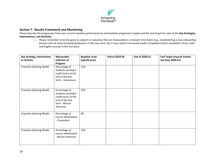

# **Section 7: Results Framework and Monitoring**

Please describe the progression from your current baseline performance to intermediate progression targets and the end-target for each of the **Key Strategies, Interventions, and Activities**.

o Please remember to tie the goals to outputs or outcomes that are measurable in a relevant time frame (e.g., implementing a new onboarding process will not drive increased graduation in the near term, but it may result in increased credits completed and/or completion of key math and English courses in the first year).

| <b>Key Strategy, Intervention</b><br>or Activity | <b>Measurable</b><br>Indicator of<br><b>Progress</b>                                                         | <b>Baseline Level</b><br>(specify year) | End of 2019-20 | End of 2020-21 | <b>End Target (may be further</b><br>out than 2020-21) |
|--------------------------------------------------|--------------------------------------------------------------------------------------------------------------|-----------------------------------------|----------------|----------------|--------------------------------------------------------|
| Proactive Advising Model                         | Percentage of<br>students earning 0<br>credit hours at the<br>end of the first<br>term - Caucasians          | 15%                                     |                |                |                                                        |
| Proactive Advising Model                         | Percentage of<br>students earning 0<br>credit hours at the<br>end of the first<br>term - African<br>American | 25%                                     |                |                |                                                        |
| Proactive Advising Model                         | Percentage of<br>course withdrawals<br>$-$ Caucasians                                                        | 9%                                      |                |                |                                                        |
| Proactive Advising Model                         | Percentage of<br>course withdrawals<br>- African American                                                    | 15%                                     |                |                |                                                        |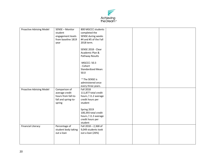

| Proactive Advising Model        | SENSE - Monitor<br>student<br>engagement levels<br>from baseline 1819 | 800 MGCCC students<br>completed the<br>SENSE during weeks<br>#4 and #5 of the Fall |  |  |
|---------------------------------|-----------------------------------------------------------------------|------------------------------------------------------------------------------------|--|--|
|                                 | year                                                                  | 2018 term.                                                                         |  |  |
|                                 |                                                                       | SENSE 2018 - Clear<br>Academic Plan &<br>Pathway Results                           |  |  |
|                                 |                                                                       | -MGCCC: 50.3<br>- Cohort                                                           |  |  |
|                                 |                                                                       | <b>Standardized Mean:</b><br>50.0                                                  |  |  |
|                                 |                                                                       | * The SENSE is<br>administered once<br>every three years.                          |  |  |
| <b>Proactive Advising Model</b> | Comparison of                                                         | Fall 2018                                                                          |  |  |
|                                 | average credit                                                        | 111,877 total credit                                                               |  |  |
|                                 | hours from fall-to-                                                   | hours / 11.2 average                                                               |  |  |
|                                 | fall and spring-to-                                                   | credit hours per<br>student                                                        |  |  |
|                                 | spring                                                                |                                                                                    |  |  |
|                                 |                                                                       | Spring 2019                                                                        |  |  |
|                                 |                                                                       | 100,393 total credit                                                               |  |  |
|                                 |                                                                       | hours / 11.3 average                                                               |  |  |
|                                 |                                                                       | credit hours per                                                                   |  |  |
|                                 |                                                                       | student                                                                            |  |  |
| <b>Financial Literacy</b>       | Percentage of                                                         | Fall 2018 - 2,368 of                                                               |  |  |
|                                 | student body taking<br>out a loan                                     | 9,049 students took<br>out a loan (26%)                                            |  |  |
|                                 |                                                                       |                                                                                    |  |  |
|                                 |                                                                       |                                                                                    |  |  |
|                                 |                                                                       |                                                                                    |  |  |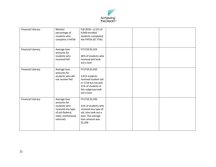

| <b>Financial Literacy</b> | Monitor<br>percentage of<br>students who<br>complete a FAFSA                                                               | Fall 2018 - 6,131 of<br>9,049 enrolled<br>students completed<br>the FAFSA (67.75%)                                                           |  |  |
|---------------------------|----------------------------------------------------------------------------------------------------------------------------|----------------------------------------------------------------------------------------------------------------------------------------------|--|--|
| <b>Financial Literacy</b> | Average loan<br>amounts for<br>students who<br>received Pell                                                               | FY1718 \$5,323<br>46% of students who<br>received pell took<br>out a loan                                                                    |  |  |
| <b>Financial Literacy</b> | Average loan<br>amounts for<br>students who did<br>not receive Pell                                                        | FY1718 \$5,450<br>3,913 students<br>received student aid<br>in 1718 but not pell.<br>21% of students in<br>this subgroup took<br>out a loan. |  |  |
| <b>Financial Literacy</b> | Average loan<br>amounts for<br>students who<br>received any type<br>of aid (federal,<br>state, institutional,<br>external) | FY1718 \$5,296<br>31% of students who<br>received any type of<br>aid, also took out a<br>loan. The average<br>loan amount was<br>\$5,296     |  |  |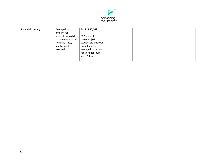

| <b>Financial Literacy</b> | Average loan<br>amount for<br>students who did<br>not receive any aid<br>(federal, state,<br>institutional,<br>external) | FY1718 \$5,662<br>522 students<br>received \$0 in<br>student aid but took<br>out a loan. The<br>average loan amount<br>for this subgroup<br>was \$5,662 |  |  |  |
|---------------------------|--------------------------------------------------------------------------------------------------------------------------|---------------------------------------------------------------------------------------------------------------------------------------------------------|--|--|--|
|---------------------------|--------------------------------------------------------------------------------------------------------------------------|---------------------------------------------------------------------------------------------------------------------------------------------------------|--|--|--|